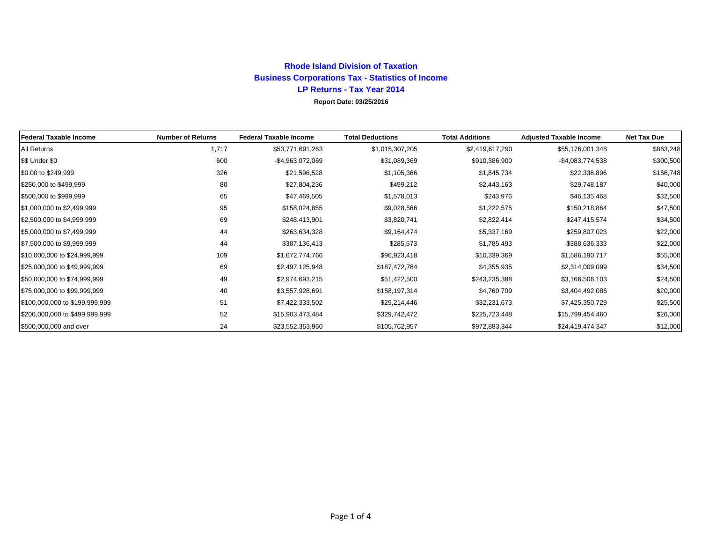## **Rhode Island Division of Taxation Business Corporations Tax - Statistics of Income LP Returns - Tax Year 2014 Report Date: 03/25/2016**

| <b>Federal Taxable Income</b>  | <b>Number of Returns</b> | <b>Federal Taxable Income</b> | <b>Total Deductions</b> | <b>Total Additions</b> | <b>Adjusted Taxable Income</b> | <b>Net Tax Due</b> |
|--------------------------------|--------------------------|-------------------------------|-------------------------|------------------------|--------------------------------|--------------------|
| All Returns                    | 1,717                    | \$53,771,691,263              | \$1,015,307,205         | \$2,419,617,290        | \$55,176,001,348               | \$863,248          |
| S\$ Under \$0                  | 600                      | -\$4,963,072,069              | \$31,089,369            | \$910,386,900          | $-$4,083,774,538$              | \$300,500          |
| \$0.00 to \$249,999            | 326                      | \$21,596,528                  | \$1,105,366             | \$1,845,734            | \$22,336,896                   | \$166,748          |
| \$250,000 to \$499,999         | 80                       | \$27,804,236                  | \$499,212               | \$2,443,163            | \$29,748,187                   | \$40,000           |
| \$500,000 to \$999,999         | 65                       | \$47,469,505                  | \$1,578,013             | \$243,976              | \$46,135,468                   | \$32,500           |
| \$1,000,000 to \$2,499,999     | 95                       | \$158,024,855                 | \$9,028,566             | \$1,222,575            | \$150,218,864                  | \$47,500           |
| \$2,500,000 to \$4,999,999     | 69                       | \$248,413,901                 | \$3,820,741             | \$2,822,414            | \$247,415,574                  | \$34,500           |
| \$5,000,000 to \$7,499,999     | 44                       | \$263,634,328                 | \$9,164,474             | \$5,337,169            | \$259,807,023                  | \$22,000           |
| \$7,500,000 to \$9,999,999     | 44                       | \$387,136,413                 | \$285,573               | \$1,785,493            | \$388,636,333                  | \$22,000           |
| \$10,000,000 to \$24,999,999   | 109                      | \$1,672,774,766               | \$96,923,418            | \$10,339,369           | \$1,586,190,717                | \$55,000           |
| \$25,000,000 to \$49,999,999   | 69                       | \$2,497,125,948               | \$187,472,784           | \$4,355,935            | \$2,314,009,099                | \$34,500           |
| \$50,000,000 to \$74,999,999   | 49                       | \$2,974,693,215               | \$51,422,500            | \$243,235,388          | \$3,166,506,103                | \$24,500           |
| \$75,000,000 to \$99,999,999   | 40                       | \$3,557,928,691               | \$158,197,314           | \$4,760,709            | \$3,404,492,086                | \$20,000           |
| \$100,000,000 to \$199,999,999 | 51                       | \$7,422,333,502               | \$29,214,446            | \$32,231,673           | \$7,425,350,729                | \$25,500           |
| \$200,000,000 to \$499,999,999 | 52                       | \$15,903,473,484              | \$329,742,472           | \$225,723,448          | \$15,799,454,460               | \$26,000           |
| \$500,000,000 and over         | 24                       | \$23,552,353,960              | \$105,762,957           | \$972,883,344          | \$24,419,474,347               | \$12,000           |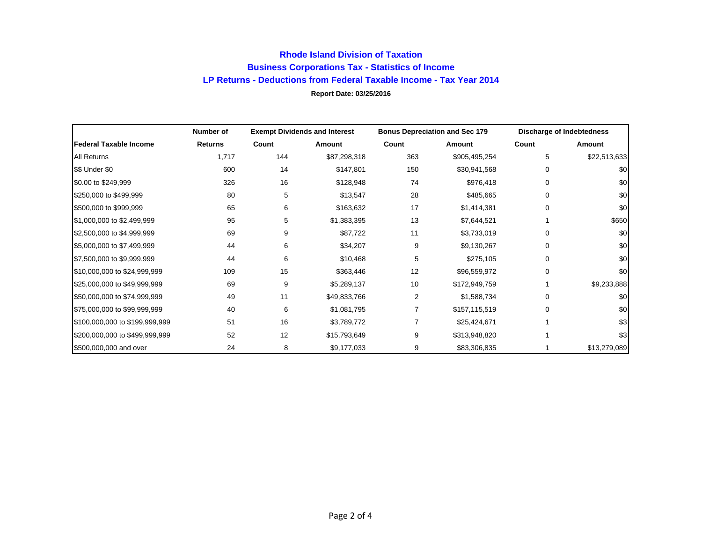## **Rhode Island Division of Taxation Business Corporations Tax - Statistics of Income LP Returns - Deductions from Federal Taxable Income - Tax Year 2014 Report Date: 03/25/2016**

|                                | Number of | <b>Exempt Dividends and Interest</b> |              | <b>Bonus Depreciation and Sec 179</b> |               | Discharge of Indebtedness |              |
|--------------------------------|-----------|--------------------------------------|--------------|---------------------------------------|---------------|---------------------------|--------------|
| <b>Federal Taxable Income</b>  | Returns   | Count                                | Amount       | Count                                 | Amount        | Count                     | Amount       |
| <b>All Returns</b>             | 1,717     | 144                                  | \$87,298,318 | 363                                   | \$905,495,254 | 5                         | \$22,513,633 |
| \$\$ Under \$0                 | 600       | 14                                   | \$147,801    | 150                                   | \$30,941,568  | $\Omega$                  | \$0          |
| \$0.00 to \$249,999            | 326       | 16                                   | \$128,948    | 74                                    | \$976,418     | 0                         | \$0          |
| \$250,000 to \$499,999         | 80        | 5                                    | \$13,547     | 28                                    | \$485,665     | <sup>0</sup>              | \$0          |
| \$500,000 to \$999,999         | 65        | 6                                    | \$163,632    | 17                                    | \$1,414,381   | $\Omega$                  | \$0          |
| \$1,000,000 to \$2,499,999     | 95        | 5                                    | \$1,383,395  | 13                                    | \$7,644,521   |                           | \$650        |
| \$2,500,000 to \$4,999,999     | 69        | 9                                    | \$87,722     | 11                                    | \$3,733,019   | 0                         | \$0          |
| \$5,000,000 to \$7,499,999     | 44        | 6                                    | \$34,207     | 9                                     | \$9,130,267   | 0                         | \$0          |
| \$7,500,000 to \$9,999,999     | 44        | 6                                    | \$10,468     | 5                                     | \$275,105     | $\Omega$                  | \$0          |
| \$10,000,000 to \$24,999,999   | 109       | 15                                   | \$363,446    | 12                                    | \$96,559,972  | $\Omega$                  | \$0          |
| \$25,000,000 to \$49,999,999   | 69        | 9                                    | \$5,289,137  | 10                                    | \$172,949,759 |                           | \$9,233,888  |
| \$50,000,000 to \$74,999,999   | 49        | 11                                   | \$49,833,766 | $\overline{2}$                        | \$1,588,734   | $\Omega$                  | \$0          |
| \$75,000,000 to \$99,999,999   | 40        | 6                                    | \$1,081,795  |                                       | \$157,115,519 | $\Omega$                  | \$0          |
| \$100,000,000 to \$199,999,999 | 51        | 16                                   | \$3,789,772  |                                       | \$25,424,671  |                           | \$3          |
| \$200,000,000 to \$499,999,999 | 52        | 12                                   | \$15,793,649 | 9                                     | \$313,948,820 |                           | \$3          |
| \$500,000,000 and over         | 24        | 8                                    | \$9,177,033  | 9                                     | \$83,306,835  |                           | \$13,279,089 |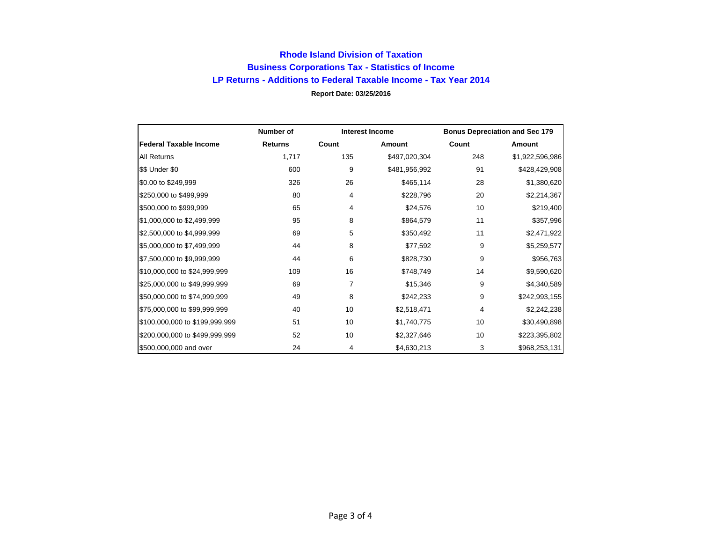## **Rhode Island Division of Taxation Business Corporations Tax - Statistics of Income LP Returns - Additions to Federal Taxable Income - Tax Year 2014 Report Date: 03/25/2016**

|                                | Number of      | <b>Interest Income</b> |               |       | <b>Bonus Depreciation and Sec 179</b> |
|--------------------------------|----------------|------------------------|---------------|-------|---------------------------------------|
| <b>Federal Taxable Income</b>  | <b>Returns</b> | Count                  | Amount        | Count | Amount                                |
| <b>All Returns</b>             | 1,717          | 135                    | \$497,020,304 | 248   | \$1,922,596,986                       |
| \$\$ Under \$0                 | 600            | 9                      | \$481,956,992 | 91    | \$428,429,908                         |
| \$0.00 to \$249,999            | 326            | 26                     | \$465,114     | 28    | \$1,380,620                           |
| \$250,000 to \$499,999         | 80             | 4                      | \$228,796     | 20    | \$2,214,367                           |
| \$500,000 to \$999,999         | 65             | 4                      | \$24,576      | 10    | \$219,400                             |
| \$1,000,000 to \$2,499,999     | 95             | 8                      | \$864,579     | 11    | \$357,996                             |
| \$2,500,000 to \$4,999,999     | 69             | 5                      | \$350,492     | 11    | \$2,471,922                           |
| \$5,000,000 to \$7,499,999     | 44             | 8                      | \$77,592      | 9     | \$5,259,577                           |
| \$7,500,000 to \$9,999,999     | 44             | 6                      | \$828,730     | 9     | \$956,763                             |
| \$10,000,000 to \$24,999,999   | 109            | 16                     | \$748,749     | 14    | \$9,590,620                           |
| \$25,000,000 to \$49,999,999   | 69             | 7                      | \$15,346      | 9     | \$4,340,589                           |
| \$50,000,000 to \$74,999,999   | 49             | 8                      | \$242,233     | 9     | \$242,993,155                         |
| \$75,000,000 to \$99,999,999   | 40             | 10                     | \$2,518,471   | 4     | \$2,242,238                           |
| \$100,000,000 to \$199,999,999 | 51             | 10                     | \$1,740,775   | 10    | \$30,490,898                          |
| \$200,000,000 to \$499,999,999 | 52             | 10                     | \$2,327,646   | 10    | \$223,395,802                         |
| \$500,000,000 and over         | 24             | 4                      | \$4,630,213   | 3     | \$968,253,131                         |